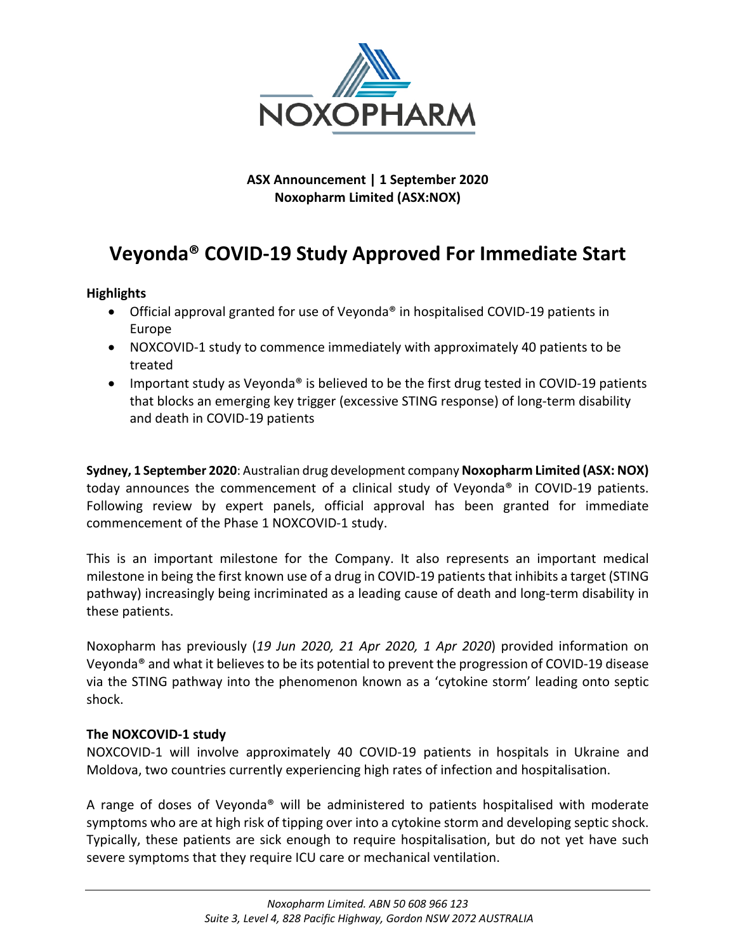

**ASX Announcement | 1 September 2020 Noxopharm Limited (ASX:NOX)**

# **Veyonda® COVID-19 Study Approved For Immediate Start**

# **Highlights**

- Official approval granted for use of Veyonda<sup>®</sup> in hospitalised COVID-19 patients in Europe
- NOXCOVID-1 study to commence immediately with approximately 40 patients to be treated
- Important study as Veyonda® is believed to be the first drug tested in COVID-19 patients that blocks an emerging key trigger (excessive STING response) of long-term disability and death in COVID-19 patients

**Sydney, 1 September 2020**: Australian drug development company Noxopharm Limited (ASX: NOX) today announces the commencement of a clinical study of Veyonda® in COVID-19 patients. Following review by expert panels, official approval has been granted for immediate commencement of the Phase 1 NOXCOVID-1 study.

This is an important milestone for the Company. It also represents an important medical milestone in being the first known use of a drug in COVID-19 patients that inhibits a target (STING pathway) increasingly being incriminated as a leading cause of death and long-term disability in these patients.

Noxopharm has previously (*19 Jun 2020, 21 Apr 2020, 1 Apr 2020*) provided information on Veyonda® and what it believes to be its potential to prevent the progression of COVID-19 disease via the STING pathway into the phenomenon known as a 'cytokine storm' leading onto septic shock.

# **The NOXCOVID-1 study**

NOXCOVID-1 will involve approximately 40 COVID-19 patients in hospitals in Ukraine and Moldova, two countries currently experiencing high rates of infection and hospitalisation.

A range of doses of Veyonda® will be administered to patients hospitalised with moderate symptoms who are at high risk of tipping over into a cytokine storm and developing septic shock. Typically, these patients are sick enough to require hospitalisation, but do not yet have such severe symptoms that they require ICU care or mechanical ventilation.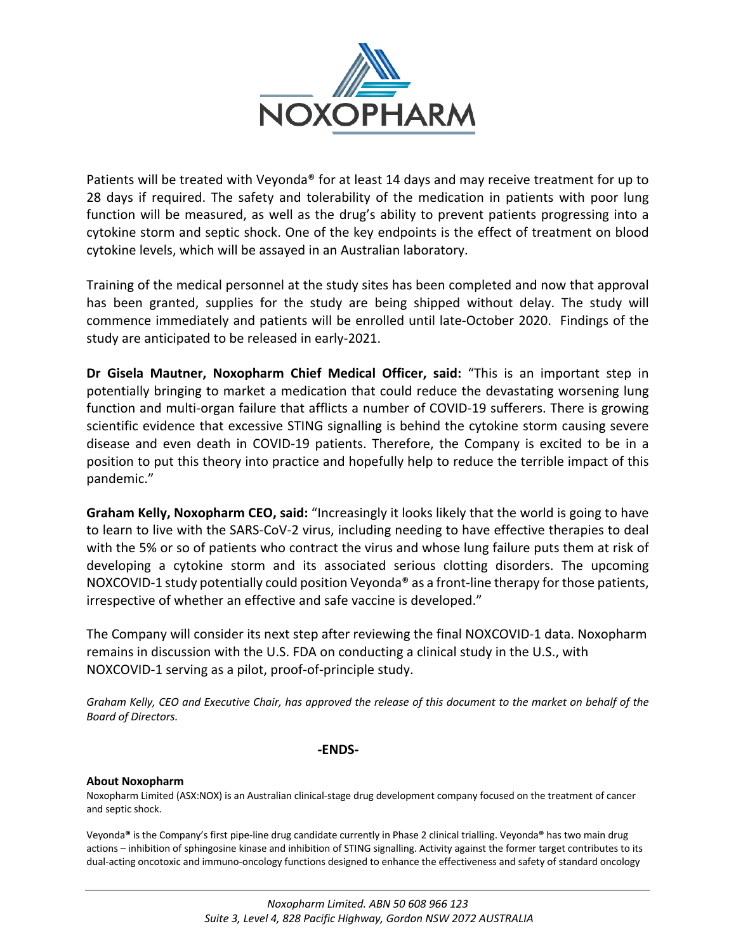

Patients will be treated with Veyonda<sup>®</sup> for at least 14 days and may receive treatment for up to 28 days if required. The safety and tolerability of the medication in patients with poor lung function will be measured, as well as the drug's ability to prevent patients progressing into a cytokine storm and septic shock. One of the key endpoints is the effect of treatment on blood cytokine levels, which will be assayed in an Australian laboratory.

Training of the medical personnel at the study sites has been completed and now that approval has been granted, supplies for the study are being shipped without delay. The study will commence immediately and patients will be enrolled until late-October 2020. Findings of the study are anticipated to be released in early-2021.

**Dr Gisela Mautner, Noxopharm Chief Medical Officer, said:** "This is an important step in potentially bringing to market a medication that could reduce the devastating worsening lung function and multi-organ failure that afflicts a number of COVID-19 sufferers. There is growing scientific evidence that excessive STING signalling is behind the cytokine storm causing severe disease and even death in COVID-19 patients. Therefore, the Company is excited to be in a position to put this theory into practice and hopefully help to reduce the terrible impact of this pandemic."

**Graham Kelly, Noxopharm CEO, said:** "Increasingly it looks likely that the world is going to have to learn to live with the SARS-CoV-2 virus, including needing to have effective therapies to deal with the 5% or so of patients who contract the virus and whose lung failure puts them at risk of developing a cytokine storm and its associated serious clotting disorders. The upcoming NOXCOVID-1 study potentially could position Veyonda<sup>®</sup> as a front-line therapy for those patients, irrespective of whether an effective and safe vaccine is developed."

The Company will consider its next step after reviewing the final NOXCOVID-1 data. Noxopharm remains in discussion with the U.S. FDA on conducting a clinical study in the U.S., with NOXCOVID-1 serving as a pilot, proof-of-principle study.

*Graham Kelly, CEO and Executive Chair, has approved the release of this document to the market on behalf of the Board of Directors.*

## **-ENDS-**

### **About Noxopharm**

Noxopharm Limited (ASX:NOX) is an Australian clinical-stage drug development company focused on the treatment of cancer and septic shock.

Veyonda**®** is the Company's first pipe-line drug candidate currently in Phase 2 clinical trialling. Veyonda**®** has two main drug actions – inhibition of sphingosine kinase and inhibition of STING signalling. Activity against the former target contributes to its dual-acting oncotoxic and immuno-oncology functions designed to enhance the effectiveness and safety of standard oncology